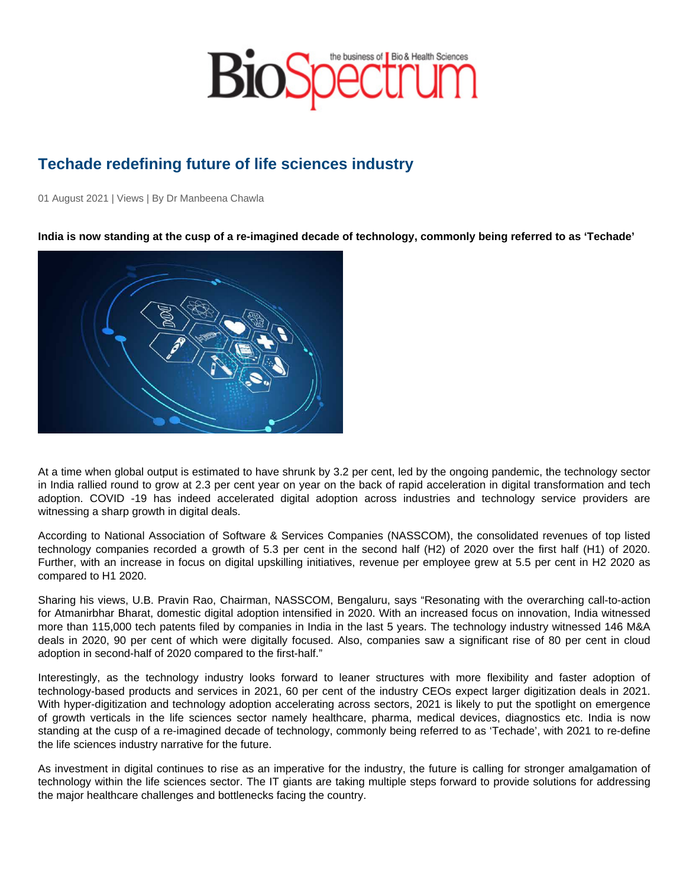## Techade redefining future of life sciences industry

01 August 2021 | Views | By Dr Manbeena Chawla

India is now standing at the cusp of a re-imagined decade of technology, commonly being referred to as 'Techade'

At a time when global output is estimated to have shrunk by 3.2 per cent, led by the ongoing pandemic, the technology sector in India rallied round to grow at 2.3 per cent year on year on the back of rapid acceleration in digital transformation and tech adoption. COVID -19 has indeed accelerated digital adoption across industries and technology service providers are witnessing a sharp growth in digital deals.

According to National Association of Software & Services Companies (NASSCOM), the consolidated revenues of top listed technology companies recorded a growth of 5.3 per cent in the second half (H2) of 2020 over the first half (H1) of 2020. Further, with an increase in focus on digital upskilling initiatives, revenue per employee grew at 5.5 per cent in H2 2020 as compared to H1 2020.

Sharing his views, U.B. Pravin Rao, Chairman, NASSCOM, Bengaluru, says "Resonating with the overarching call-to-action for Atmanirbhar Bharat, domestic digital adoption intensified in 2020. With an increased focus on innovation, India witnessed more than 115,000 tech patents filed by companies in India in the last 5 years. The technology industry witnessed 146 M&A deals in 2020, 90 per cent of which were digitally focused. Also, companies saw a significant rise of 80 per cent in cloud adoption in second-half of 2020 compared to the first-half."

Interestingly, as the technology industry looks forward to leaner structures with more flexibility and faster adoption of technology-based products and services in 2021, 60 per cent of the industry CEOs expect larger digitization deals in 2021. With hyper-digitization and technology adoption accelerating across sectors, 2021 is likely to put the spotlight on emergence of growth verticals in the life sciences sector namely healthcare, pharma, medical devices, diagnostics etc. India is now standing at the cusp of a re-imagined decade of technology, commonly being referred to as 'Techade', with 2021 to re-define the life sciences industry narrative for the future.

As investment in digital continues to rise as an imperative for the industry, the future is calling for stronger amalgamation of technology within the life sciences sector. The IT giants are taking multiple steps forward to provide solutions for addressing the major healthcare challenges and bottlenecks facing the country.